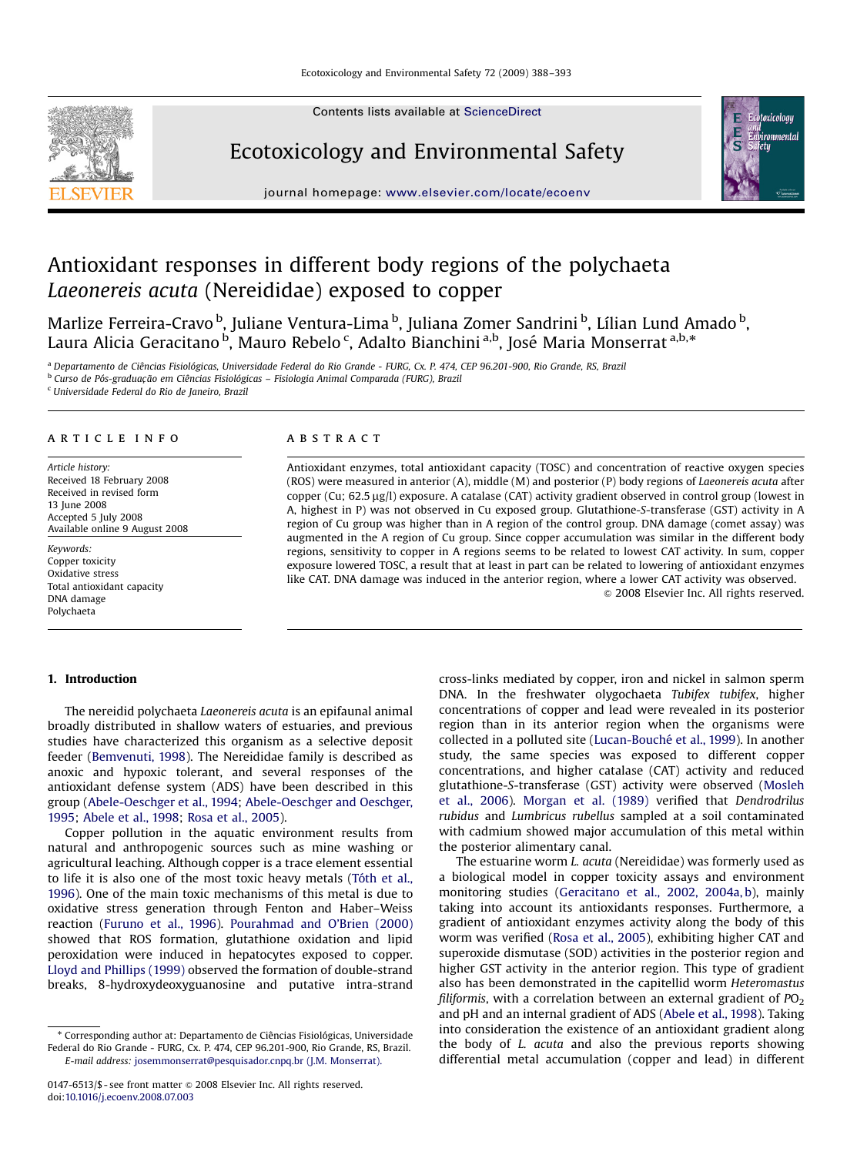Contents lists available at [ScienceDirect](www.sciencedirect.com/science/journal/yeesa)

## Ecotoxicology and Environmental Safety



journal homepage: <www.elsevier.com/locate/ecoenv>

# Antioxidant responses in different body regions of the polychaeta Laeonereis acuta (Nereididae) exposed to copper

Marlize Ferreira-Cravo <sup>b</sup>, Juliane Ventura-Lima <sup>b</sup>, Juliana Zomer Sandrini <sup>b</sup>, Lílian Lund Amado <sup>b</sup>, nambé i criena eravo I, janané Vencara bina I, janana bomér banarini I, binan bana i i<br>Laura Alicia Geracitano <sup>b</sup>, Mauro Rebelo <sup>c</sup>, Adalto Bianchini<sup>a,b</sup>, José Maria Monserrat <sup>a,b,\*</sup>

<sup>a</sup> Departamento de Ciências Fisiológicas, Universidade Federal do Rio Grande - FURG, Cx. P. 474, CEP 96.201-900, Rio Grande, RS, Brazil

<sup>b</sup> Curso de Pós-graduação em Ciências Fisiológicas – Fisiologia Animal Comparada (FURG), Brazil

<sup>c</sup> Universidade Federal do Rio de Janeiro, Brazil

## article info

Article history: Received 18 February 2008 Received in revised form 13 June 2008 Accepted 5 July 2008 Available online 9 August 2008

Keywords: Copper toxicity Oxidative stress Total antioxidant capacity DNA damage Polychaeta

#### **ABSTRACT**

Antioxidant enzymes, total antioxidant capacity (TOSC) and concentration of reactive oxygen species (ROS) were measured in anterior (A), middle (M) and posterior (P) body regions of Laeonereis acuta after copper (Cu; 62.5 µg/l) exposure. A catalase (CAT) activity gradient observed in control group (lowest in A, highest in P) was not observed in Cu exposed group. Glutathione-S-transferase (GST) activity in A region of Cu group was higher than in A region of the control group. DNA damage (comet assay) was augmented in the A region of Cu group. Since copper accumulation was similar in the different body regions, sensitivity to copper in A regions seems to be related to lowest CAT activity. In sum, copper exposure lowered TOSC, a result that at least in part can be related to lowering of antioxidant enzymes like CAT. DNA damage was induced in the anterior region, where a lower CAT activity was observed.  $\odot$  2008 Elsevier Inc. All rights reserved.

## 1. Introduction

The nereidid polychaeta Laeonereis acuta is an epifaunal animal broadly distributed in shallow waters of estuaries, and previous studies have characterized this organism as a selective deposit feeder [\(Bemvenuti, 1998\)](#page-5-0). The Nereididae family is described as anoxic and hypoxic tolerant, and several responses of the antioxidant defense system (ADS) have been described in this group [\(Abele-Oeschger et al., 1994](#page-5-0); [Abele-Oeschger and Oeschger,](#page-5-0) [1995](#page-5-0); [Abele et al., 1998](#page-5-0); [Rosa et al., 2005](#page-5-0)).

Copper pollution in the aquatic environment results from natural and anthropogenic sources such as mine washing or agricultural leaching. Although copper is a trace element essential to life it is also one of the most toxic heavy metals (Tóth et al., [1996](#page-5-0)). One of the main toxic mechanisms of this metal is due to oxidative stress generation through Fenton and Haber–Weiss reaction [\(Furuno et al., 1996\)](#page-5-0). [Pourahmad and O'Brien \(2000\)](#page-5-0) showed that ROS formation, glutathione oxidation and lipid peroxidation were induced in hepatocytes exposed to copper. [Lloyd and Phillips \(1999\)](#page-5-0) observed the formation of double-strand breaks, 8-hydroxydeoxyguanosine and putative intra-strand cross-links mediated by copper, iron and nickel in salmon sperm DNA. In the freshwater olygochaeta Tubifex tubifex, higher concentrations of copper and lead were revealed in its posterior region than in its anterior region when the organisms were collected in a polluted site (Lucan-Bouché et al., 1999). In another study, the same species was exposed to different copper concentrations, and higher catalase (CAT) activity and reduced glutathione-S-transferase (GST) activity were observed ([Mosleh](#page-5-0) [et al., 2006\)](#page-5-0). [Morgan et al. \(1989\)](#page-5-0) verified that Dendrodrilus rubidus and Lumbricus rubellus sampled at a soil contaminated with cadmium showed major accumulation of this metal within the posterior alimentary canal.

The estuarine worm L. acuta (Nereididae) was formerly used as a biological model in copper toxicity assays and environment monitoring studies ([Geracitano et al., 2002, 2004a, b\)](#page-5-0), mainly taking into account its antioxidants responses. Furthermore, a gradient of antioxidant enzymes activity along the body of this worm was verified ([Rosa et al., 2005](#page-5-0)), exhibiting higher CAT and superoxide dismutase (SOD) activities in the posterior region and higher GST activity in the anterior region. This type of gradient also has been demonstrated in the capitellid worm Heteromastus filiformis, with a correlation between an external gradient of  $PO<sub>2</sub>$ and pH and an internal gradient of ADS [\(Abele et al., 1998](#page-5-0)). Taking into consideration the existence of an antioxidant gradient along the body of L. acuta and also the previous reports showing differential metal accumulation (copper and lead) in different

<sup>\*</sup> Corresponding author at: Departamento de Ciências Fisiológicas, Universidade Federal do Rio Grande - FURG, Cx. P. 474, CEP 96.201-900, Rio Grande, RS, Brazil. E-mail address: [josemmonserrat@pesquisador.cnpq.br \(J.M. Monserrat\).](mailto:josemmonserrat@pesquisador.cnpq.br)

<sup>0147-6513/\$ -</sup> see front matter  $\circ$  2008 Elsevier Inc. All rights reserved. doi:[10.1016/j.ecoenv.2008.07.003](dx.doi.org/10.1016/j.ecoenv.2008.07.003)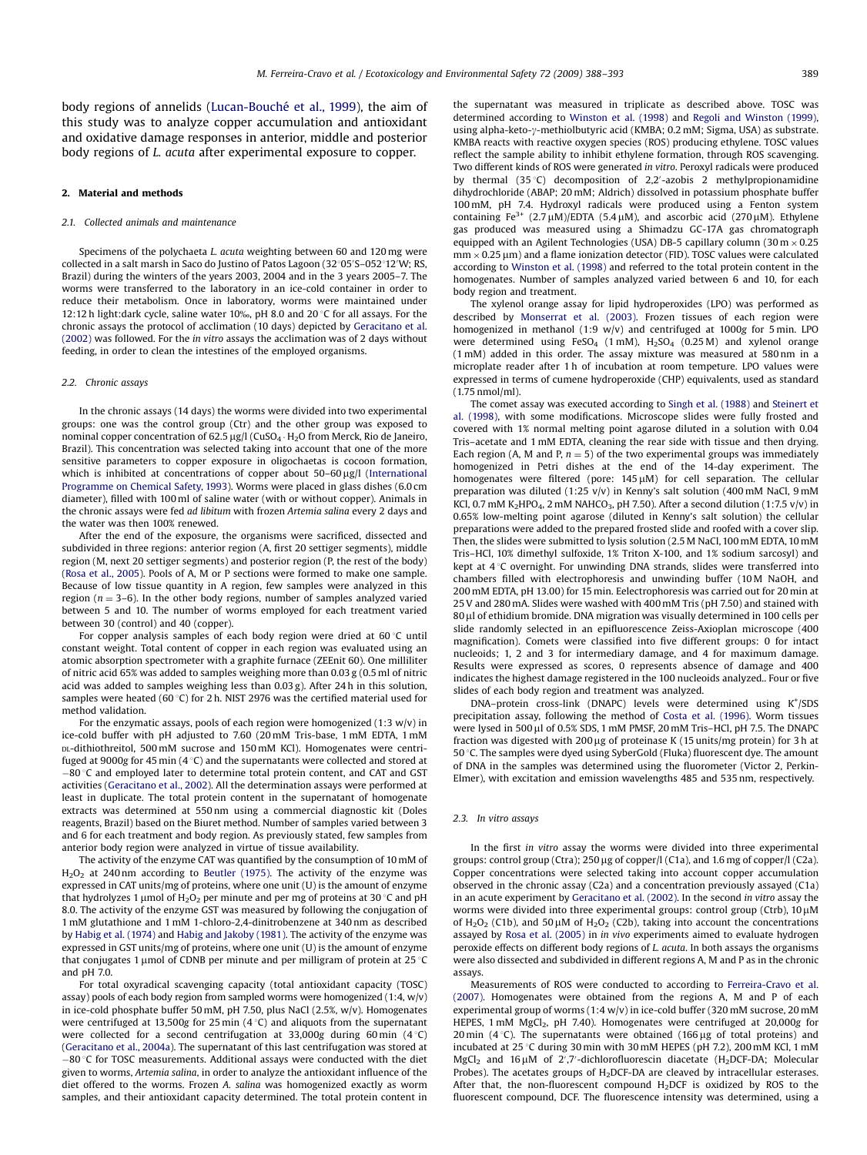body regions of annelids (Lucan-Bouché et al., 1999), the aim of this study was to analyze copper accumulation and antioxidant and oxidative damage responses in anterior, middle and posterior body regions of L. acuta after experimental exposure to copper.

#### 2. Material and methods

#### 2.1. Collected animals and maintenance

Specimens of the polychaeta *L. acuta* weighting between 60 and 120 mg were collected in a salt marsh in Saco do Justino of Patos Lagoon (32°05'S-052°12'W; RS, Brazil) during the winters of the years 2003, 2004 and in the 3 years 2005–7. The worms were transferred to the laboratory in an ice-cold container in order to reduce their metabolism. Once in laboratory, worms were maintained under 12:12 h light:dark cycle, saline water 10‰, pH 8.0 and 20 °C for all assays. For the chronic assays the protocol of acclimation (10 days) depicted by [Geracitano et al.](#page-5-0) [\(2002\)](#page-5-0) was followed. For the in vitro assays the acclimation was of 2 days without feeding, in order to clean the intestines of the employed organisms.

#### 2.2. Chronic assays

In the chronic assays (14 days) the worms were divided into two experimental groups: one was the control group (Ctr) and the other group was exposed to nominal copper concentration of 62.5  $\mu$ g/l (CuSO<sub>4</sub> · H<sub>2</sub>O from Merck, Rio de Janeiro, Brazil). This concentration was selected taking into account that one of the more sensitive parameters to copper exposure in oligochaetas is cocoon formation, which is inhibited at concentrations of copper about 50-60  $\mu$ g/l ([International](#page-5-0) [Programme on Chemical Safety, 1993](#page-5-0)). Worms were placed in glass dishes (6.0 cm diameter), filled with 100 ml of saline water (with or without copper). Animals in the chronic assays were fed ad libitum with frozen Artemia salina every 2 days and the water was then 100% renewed.

After the end of the exposure, the organisms were sacrificed, dissected and subdivided in three regions: anterior region (A, first 20 settiger segments), middle region (M, next 20 settiger segments) and posterior region (P, the rest of the body) [\(Rosa et al., 2005\)](#page-5-0). Pools of A, M or P sections were formed to make one sample. Because of low tissue quantity in A region, few samples were analyzed in this region ( $n = 3-6$ ). In the other body regions, number of samples analyzed varied between 5 and 10. The number of worms employed for each treatment varied between 30 (control) and 40 (copper).

For copper analysis samples of each body region were dried at  $60^{\circ}$ C until constant weight. Total content of copper in each region was evaluated using an atomic absorption spectrometer with a graphite furnace (ZEEnit 60). One milliliter of nitric acid 65% was added to samples weighing more than 0.03 g (0.5 ml of nitric acid was added to samples weighing less than 0.03 g). After 24 h in this solution, samples were heated (60 $^{\circ}$ C) for 2 h. NIST 2976 was the certified material used for method validation.

For the enzymatic assays, pools of each region were homogenized (1:3 w/v) in ice-cold buffer with pH adjusted to 7.60 (20 mM Tris-base, 1 mM EDTA, 1 mM DL-dithiothreitol, 500 mM sucrose and 150 mM KCl). Homogenates were centrifuged at 9000g for 45 min (4 $\degree$ C) and the supernatants were collected and stored at  $-80$  °C and employed later to determine total protein content, and CAT and GST activities [\(Geracitano et al., 2002\)](#page-5-0). All the determination assays were performed at least in duplicate. The total protein content in the supernatant of homogenate extracts was determined at 550 nm using a commercial diagnostic kit (Doles reagents, Brazil) based on the Biuret method. Number of samples varied between 3 and 6 for each treatment and body region. As previously stated, few samples from anterior body region were analyzed in virtue of tissue availability.

The activity of the enzyme CAT was quantified by the consumption of 10 mM of  $H<sub>2</sub>O<sub>2</sub>$  at 240 nm according to [Beutler \(1975\)](#page-5-0). The activity of the enzyme was expressed in CAT units/mg of proteins, where one unit (U) is the amount of enzyme that hydrolyzes 1 umol of H<sub>2</sub>O<sub>2</sub> per minute and per mg of proteins at 30 °C and pH 8.0. The activity of the enzyme GST was measured by following the conjugation of 1 mM glutathione and 1 mM 1-chloro-2,4-dinitrobenzene at 340 nm as described by [Habig et al. \(1974\)](#page-5-0) and [Habig and Jakoby \(1981\)](#page-5-0). The activity of the enzyme was expressed in GST units/mg of proteins, where one unit (U) is the amount of enzyme that conjugates 1 µmol of CDNB per minute and per milligram of protein at 25  $\degree$ C and pH 7.0.

For total oxyradical scavenging capacity (total antioxidant capacity (TOSC) assay) pools of each body region from sampled worms were homogenized (1:4, w/v) in ice-cold phosphate buffer 50 mM, pH 7.50, plus NaCl (2.5%, w/v). Homogenates were centrifuged at 13,500g for 25 min (4 $\degree$ C) and aliquots from the supernatant were collected for a second centrifugation at 33,000g during 60 min  $(4^{\circ}C)$ [\(Geracitano et al., 2004a](#page-5-0)). The supernatant of this last centrifugation was stored at  $-80$  °C for TOSC measurements. Additional assays were conducted with the diet given to worms, Artemia salina, in order to analyze the antioxidant influence of the diet offered to the worms. Frozen A. salina was homogenized exactly as worm samples, and their antioxidant capacity determined. The total protein content in the supernatant was measured in triplicate as described above. TOSC was determined according to [Winston et al. \(1998\)](#page-5-0) and [Regoli and Winston \(1999\)](#page-5-0), using alpha-keto-y-methiolbutyric acid (KMBA; 0.2 mM; Sigma, USA) as substrate. KMBA reacts with reactive oxygen species (ROS) producing ethylene. TOSC values reflect the sample ability to inhibit ethylene formation, through ROS scavenging. Two different kinds of ROS were generated in vitro. Peroxyl radicals were produced by thermal  $(35 °C)$  decomposition of 2,2'-azobis 2 methylpropionamidine dihydrochloride (ABAP; 20 mM; Aldrich) dissolved in potassium phosphate buffer 100 mM, pH 7.4. Hydroxyl radicals were produced using a Fenton system containing Fe<sup>3+</sup> (2.7  $\mu$ M)/EDTA (5.4  $\mu$ M), and ascorbic acid (270  $\mu$ M). Ethylene gas produced was measured using a Shimadzu GC-17A gas chromatograph equipped with an Agilent Technologies (USA) DB-5 capillary column (30 m  $\times$  0.25  $mm \times 0.25$  um) and a flame ionization detector (FID). TOSC values were calculated according to [Winston et al. \(1998\)](#page-5-0) and referred to the total protein content in the homogenates. Number of samples analyzed varied between 6 and 10, for each body region and treatment.

The xylenol orange assay for lipid hydroperoxides (LPO) was performed as described by [Monserrat et al. \(2003\)](#page-5-0). Frozen tissues of each region were homogenized in methanol (1:9 w/v) and centrifuged at 1000g for 5 min. LPO were determined using  $FeSO_4$  (1 mM),  $H_2SO_4$  (0.25 M) and xylenol orange (1 mM) added in this order. The assay mixture was measured at 580 nm in a microplate reader after 1 h of incubation at room tempeture. LPO values were expressed in terms of cumene hydroperoxide (CHP) equivalents, used as standard (1.75 nmol/ml).

The comet assay was executed according to [Singh et al. \(1988\)](#page-5-0) and [Steinert et](#page-5-0) [al. \(1998\),](#page-5-0) with some modifications. Microscope slides were fully frosted and covered with 1% normal melting point agarose diluted in a solution with 0.04 Tris–acetate and 1 mM EDTA, cleaning the rear side with tissue and then drying. Each region (A, M and P,  $n = 5$ ) of the two experimental groups was immediately homogenized in Petri dishes at the end of the 14-day experiment. The homogenates were filtered (pore:  $145 \mu M$ ) for cell separation. The cellular preparation was diluted (1:25 v/v) in Kenny's salt solution (400 mM NaCl, 9 mM KCl, 0.7 mM K<sub>2</sub>HPO<sub>4</sub>, 2 mM NAHCO<sub>3</sub>, pH 7.50). After a second dilution (1:7.5 v/v) in 0.65% low-melting point agarose (diluted in Kenny's salt solution) the cellular preparations were added to the prepared frosted slide and roofed with a cover slip. Then, the slides were submitted to lysis solution (2.5 M NaCl, 100 mM EDTA, 10 mM Tris–HCl, 10% dimethyl sulfoxide, 1% Triton X-100, and 1% sodium sarcosyl) and kept at 4 °C overnight. For unwinding DNA strands, slides were transferred into chambers filled with electrophoresis and unwinding buffer (10 M NaOH, and 200 mM EDTA, pH 13.00) for 15 min. Eelectrophoresis was carried out for 20 min at 25 V and 280 mA. Slides were washed with 400 mM Tris (pH 7.50) and stained with 80 µl of ethidium bromide. DNA migration was visually determined in 100 cells per slide randomly selected in an epifluorescence Zeiss-Axioplan microscope (400 magnification). Comets were classified into five different groups: 0 for intact nucleoids; 1, 2 and 3 for intermediary damage, and 4 for maximum damage. Results were expressed as scores, 0 represents absence of damage and 400 indicates the highest damage registered in the 100 nucleoids analyzed.. Four or five slides of each body region and treatment was analyzed.

DNA-protein cross-link (DNAPC) levels were determined using K+/SDS precipitation assay, following the method of [Costa et al. \(1996\).](#page-5-0) Worm tissues were lysed in 500 ul of 0.5% SDS, 1 mM PMSF, 20 mM Tris–HCl, pH 7.5. The DNAPC fraction was digested with 200 µg of proteinase K (15 units/mg protein) for 3 h at 50 °C. The samples were dyed using SyberGold (Fluka) fluorescent dye. The amount of DNA in the samples was determined using the fluorometer (Victor 2, Perkin-Elmer), with excitation and emission wavelengths 485 and 535 nm, respectively.

#### 2.3. In vitro assays

In the first in vitro assay the worms were divided into three experimental groups: control group (Ctra); 250 µg of copper/l (C1a), and 1.6 mg of copper/l (C2a). Copper concentrations were selected taking into account copper accumulation observed in the chronic assay (C2a) and a concentration previously assayed (C1a) in an acute experiment by [Geracitano et al. \(2002\)](#page-5-0). In the second in vitro assay the worms were divided into three experimental groups: control group (Ctrb),  $10 \mu M$ of H<sub>2</sub>O<sub>2</sub> (C1b), and 50  $\mu$ M of H<sub>2</sub>O<sub>2</sub> (C2b), taking into account the concentrations assayed by [Rosa et al. \(2005\)](#page-5-0) in in vivo experiments aimed to evaluate hydrogen peroxide effects on different body regions of L. acuta. In both assays the organisms were also dissected and subdivided in different regions A, M and P as in the chronic assays.

Measurements of ROS were conducted to according to [Ferreira-Cravo et al.](#page-5-0) [\(2007\).](#page-5-0) Homogenates were obtained from the regions A, M and P of each experimental group of worms (1:4 w/v) in ice-cold buffer (320 mM sucrose, 20 mM HEPES, 1 mM MgCl<sub>2</sub>, pH 7.40). Homogenates were centrifuged at 20,000g for 20 min (4 $\degree$ C). The supernatants were obtained (166 µg of total proteins) and incubated at 25 °C during 30 min with 30 mM HEPES (pH 7.2), 200 mM KCl, 1 mM MgCl<sub>2</sub> and 16  $\mu$ M of 2',7'-dichlorofluorescin diacetate (H<sub>2</sub>DCF-DA; Molecular Probes). The acetates groups of  $H_2$ DCF-DA are cleaved by intracellular esterases. After that, the non-fluorescent compound  $H_2$ DCF is oxidized by ROS to the fluorescent compound, DCF. The fluorescence intensity was determined, using a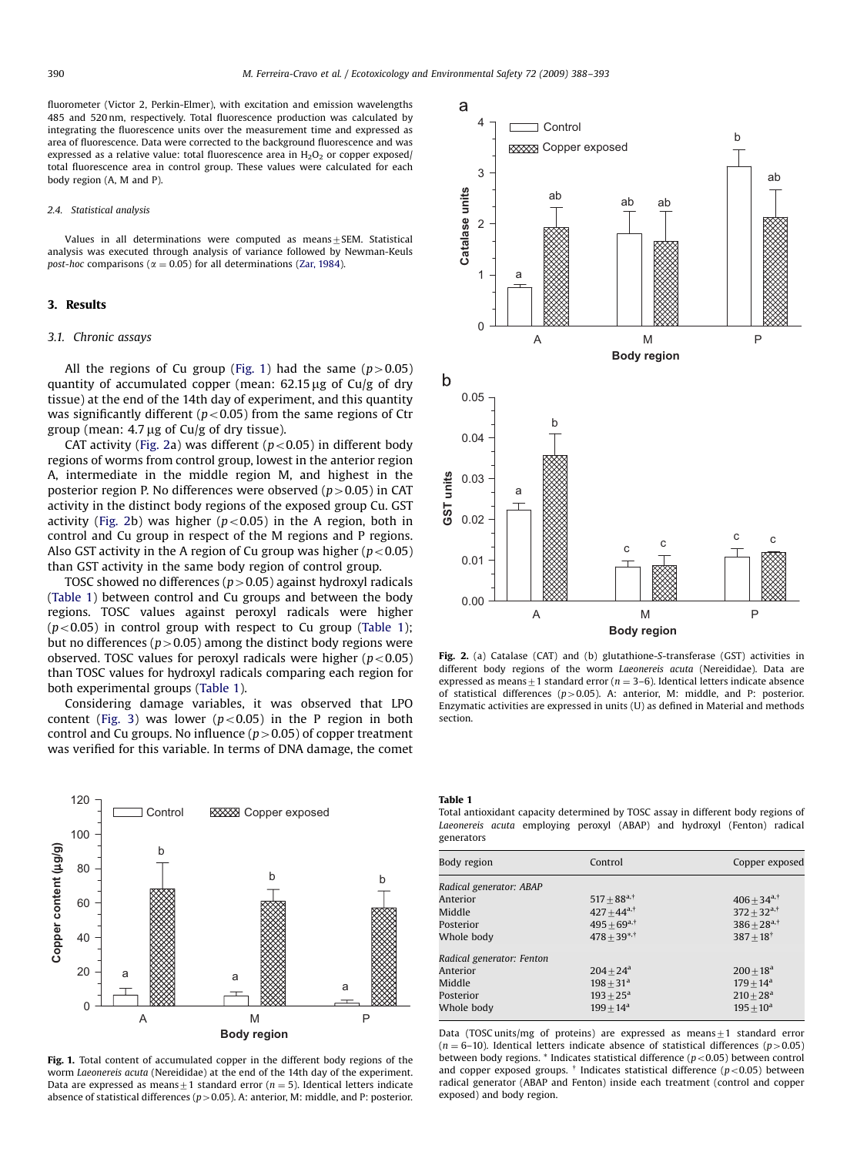<span id="page-2-0"></span>fluorometer (Victor 2, Perkin-Elmer), with excitation and emission wavelengths 485 and 520 nm, respectively. Total fluorescence production was calculated by integrating the fluorescence units over the measurement time and expressed as area of fluorescence. Data were corrected to the background fluorescence and was expressed as a relative value: total fluorescence area in  $H_2O_2$  or copper exposed/ total fluorescence area in control group. These values were calculated for each body region (A, M and P).

#### 2.4. Statistical analysis

Values in all determinations were computed as means $\pm$ SEM. Statistical analysis was executed through analysis of variance followed by Newman-Keuls post-hoc comparisons ( $\alpha = 0.05$ ) for all determinations ([Zar, 1984\)](#page-5-0).

## 3. Results

#### 3.1. Chronic assays

All the regions of Cu group (Fig. 1) had the same ( $p > 0.05$ ) quantity of accumulated copper (mean:  $62.15 \,\mu$ g of Cu/g of dry tissue) at the end of the 14th day of experiment, and this quantity was significantly different ( $p<0.05$ ) from the same regions of Ctr group (mean:  $4.7 \mu$ g of Cu/g of dry tissue).

CAT activity (Fig. 2a) was different ( $p < 0.05$ ) in different body regions of worms from control group, lowest in the anterior region A, intermediate in the middle region M, and highest in the posterior region P. No differences were observed ( $p > 0.05$ ) in CAT activity in the distinct body regions of the exposed group Cu. GST activity (Fig. 2b) was higher  $(p<0.05)$  in the A region, both in control and Cu group in respect of the M regions and P regions. Also GST activity in the A region of Cu group was higher ( $p<0.05$ ) than GST activity in the same body region of control group.

TOSC showed no differences ( $p > 0.05$ ) against hydroxyl radicals (Table 1) between control and Cu groups and between the body regions. TOSC values against peroxyl radicals were higher  $(p<0.05)$  in control group with respect to Cu group (Table 1); but no differences ( $p>0.05$ ) among the distinct body regions were observed. TOSC values for peroxyl radicals were higher ( $p < 0.05$ ) than TOSC values for hydroxyl radicals comparing each region for both experimental groups (Table 1).

Considering damage variables, it was observed that LPO content ([Fig. 3](#page-3-0)) was lower ( $p < 0.05$ ) in the P region in both control and Cu groups. No influence  $(p>0.05)$  of copper treatment was verified for this variable. In terms of DNA damage, the comet



Fig. 1. Total content of accumulated copper in the different body regions of the worm Laeonereis acuta (Nereididae) at the end of the 14th day of the experiment. Data are expressed as means $\pm 1$  standard error (n = 5). Identical letters indicate absence of statistical differences ( $p>0.05$ ). A: anterior, M: middle, and P: posterior.



Fig. 2. (a) Catalase (CAT) and (b) glutathione-S-transferase (GST) activities in different body regions of the worm Laeonereis acuta (Nereididae). Data are expressed as means  $\pm 1$  standard error (n = 3–6). Identical letters indicate absence of statistical differences ( $p > 0.05$ ). A: anterior, M: middle, and P: posterior. Enzymatic activities are expressed in units (U) as defined in Material and methods section.

Table 1

Total antioxidant capacity determined by TOSC assay in different body regions of Laeonereis acuta employing peroxyl (ABAP) and hydroxyl (Fenton) radical generators

| Body region               | Control                         | Copper exposed                |
|---------------------------|---------------------------------|-------------------------------|
| Radical generator: ABAP   |                                 |                               |
| Anterior                  | $517 + 88^{\text{a},\dagger}$   | $406 + 34^{\text{a},\dagger}$ |
| Middle                    | $427 + 44^{a,\dagger}$          | $372 + 32^{a,\dagger}$        |
| Posterior                 | $495 \pm 69^{\text{a},\dagger}$ | $386 + 28^{a,\dagger}$        |
| Whole body                | $478 \pm 39^{*,+}$              | $387 + 18^{\dagger}$          |
| Radical generator: Fenton |                                 |                               |
| Anterior                  | $204 + 24^a$                    | $200 + 18^a$                  |
| Middle                    | $198 + 31a$                     | $179 + 14^a$                  |
| Posterior                 | $193 + 25^a$                    | $210 + 28$ <sup>a</sup>       |
| Whole body                | $199 + 14^a$                    | $195 + 10^a$                  |

Data (TOSC units/mg of proteins) are expressed as means $+1$  standard error ( $n = 6-10$ ). Identical letters indicate absence of statistical differences ( $p > 0.05$ ) between body regions.  $*$  Indicates statistical difference ( $p<0.05$ ) between control and copper exposed groups.  $\dagger$  Indicates statistical difference ( $p$  < 0.05) between radical generator (ABAP and Fenton) inside each treatment (control and copper exposed) and body region.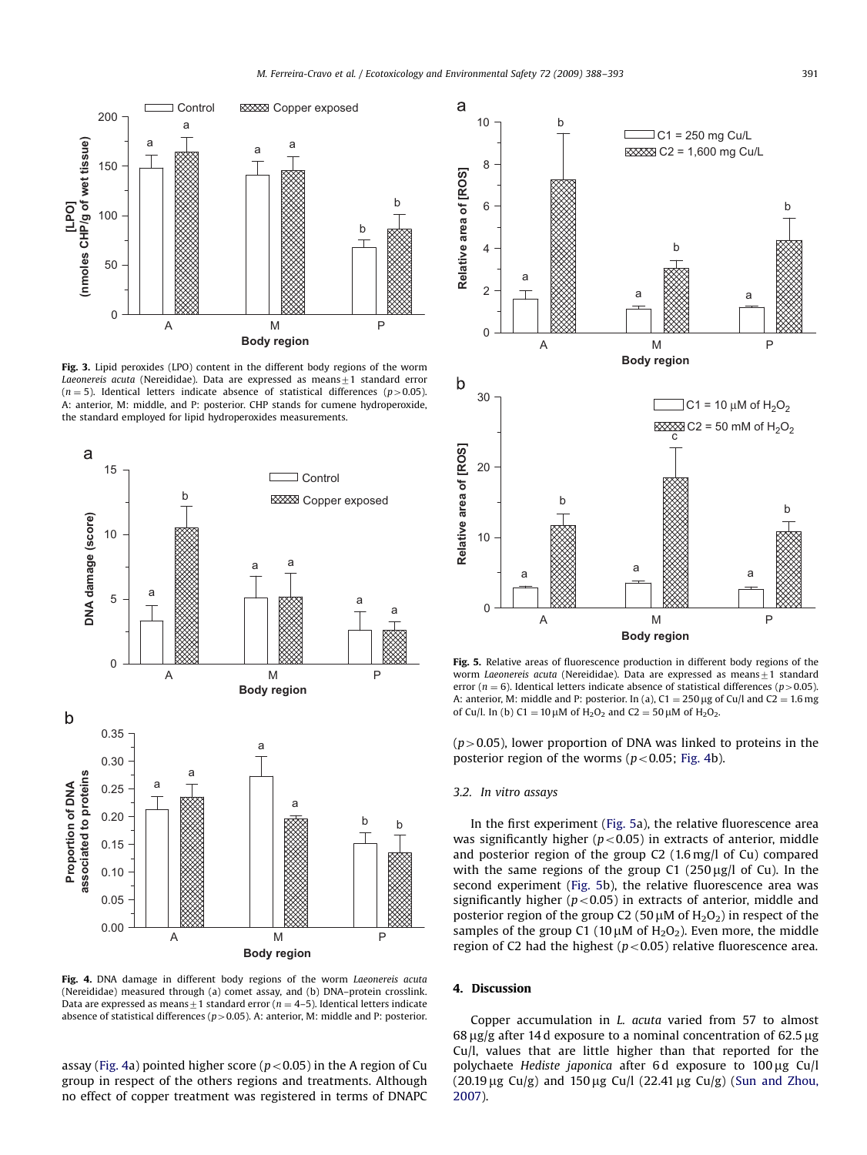<span id="page-3-0"></span>

Fig. 3. Lipid peroxides (LPO) content in the different body regions of the worm Laeonereis acuta (Nereididae). Data are expressed as means $\pm 1$  standard error  $(n = 5)$ . Identical letters indicate absence of statistical differences (p > 0.05). A: anterior, M: middle, and P: posterior. CHP stands for cumene hydroperoxide, the standard employed for lipid hydroperoxides measurements.



Fig. 4. DNA damage in different body regions of the worm Laeonereis acuta (Nereididae) measured through (a) comet assay, and (b) DNA–protein crosslink. Data are expressed as means $\pm 1$  standard error (n = 4–5). Identical letters indicate absence of statistical differences ( $p>0.05$ ). A: anterior, M: middle and P: posterior.

assay (Fig. 4a) pointed higher score ( $p < 0.05$ ) in the A region of Cu group in respect of the others regions and treatments. Although no effect of copper treatment was registered in terms of DNAPC



Fig. 5. Relative areas of fluorescence production in different body regions of the worm Laeonereis acuta (Nereididae). Data are expressed as means $\pm 1$  standard error ( $n = 6$ ). Identical letters indicate absence of statistical differences ( $p > 0.05$ ). A: anterior, M: middle and P: posterior. In (a),  $C1 = 250 \,\mu$ g of Cu/l and C2 = 1.6 mg of Cu/l. In (b) C1 = 10  $\mu$ M of H<sub>2</sub>O<sub>2</sub> and C2 = 50  $\mu$ M of H<sub>2</sub>O<sub>2</sub>.

 $(p>0.05)$ , lower proportion of DNA was linked to proteins in the posterior region of the worms ( $p < 0.05$ ; Fig. 4b).

### 3.2. In vitro assays

In the first experiment (Fig. 5a), the relative fluorescence area was significantly higher ( $p < 0.05$ ) in extracts of anterior, middle and posterior region of the group C2 (1.6 mg/l of Cu) compared with the same regions of the group  $C1$  (250  $\mu$ g/l of Cu). In the second experiment (Fig. 5b), the relative fluorescence area was significantly higher ( $p < 0.05$ ) in extracts of anterior, middle and posterior region of the group C2 (50  $\mu$ M of H<sub>2</sub>O<sub>2</sub>) in respect of the samples of the group C1 (10  $\mu$ M of H<sub>2</sub>O<sub>2</sub>). Even more, the middle region of C2 had the highest ( $p < 0.05$ ) relative fluorescence area.

## 4. Discussion

Copper accumulation in L. acuta varied from 57 to almost 68  $\mu$ g/g after 14 d exposure to a nominal concentration of 62.5  $\mu$ g Cu/l, values that are little higher than that reported for the polychaete Hediste japonica after 6d exposure to 100 µg Cu/l  $(20.19 \,\mu g \text{Cu/g})$  and  $150 \,\mu g \text{Cu}$  (22.41  $\mu g \text{Cu/g}$ ) ([Sun and Zhou,](#page-5-0) [2007\)](#page-5-0).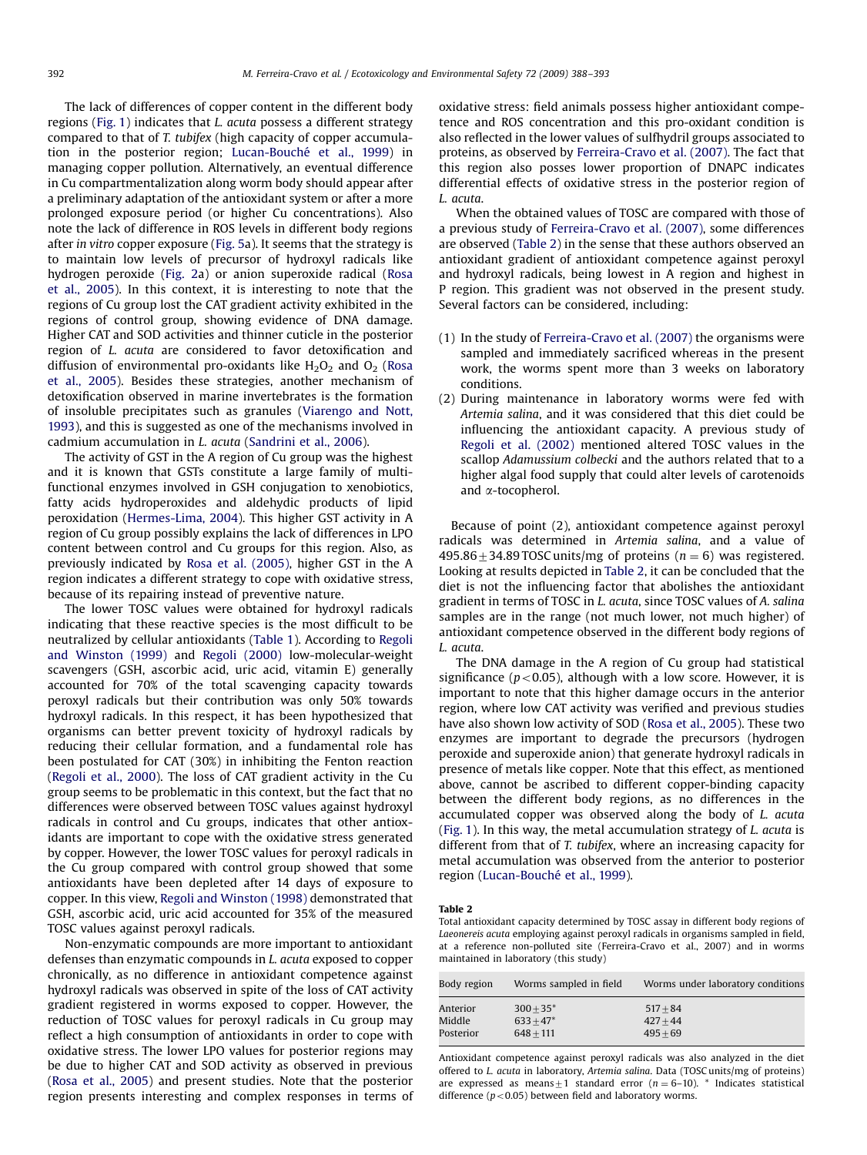The lack of differences of copper content in the different body regions [\(Fig. 1\)](#page-2-0) indicates that L. acuta possess a different strategy compared to that of T. tubifex (high capacity of copper accumulation in the posterior region; Lucan-Bouché et al., 1999) in managing copper pollution. Alternatively, an eventual difference in Cu compartmentalization along worm body should appear after a preliminary adaptation of the antioxidant system or after a more prolonged exposure period (or higher Cu concentrations). Also note the lack of difference in ROS levels in different body regions after in vitro copper exposure [\(Fig. 5](#page-3-0)a). It seems that the strategy is to maintain low levels of precursor of hydroxyl radicals like hydrogen peroxide ([Fig. 2](#page-2-0)a) or anion superoxide radical [\(Rosa](#page-5-0) [et al., 2005\)](#page-5-0). In this context, it is interesting to note that the regions of Cu group lost the CAT gradient activity exhibited in the regions of control group, showing evidence of DNA damage. Higher CAT and SOD activities and thinner cuticle in the posterior region of L. acuta are considered to favor detoxification and diffusion of environmental pro-oxidants like  $H_2O_2$  and  $O_2$  [\(Rosa](#page-5-0) [et al., 2005](#page-5-0)). Besides these strategies, another mechanism of detoxification observed in marine invertebrates is the formation of insoluble precipitates such as granules ([Viarengo and Nott,](#page-5-0) [1993](#page-5-0)), and this is suggested as one of the mechanisms involved in cadmium accumulation in L. acuta [\(Sandrini et al., 2006\)](#page-5-0).

The activity of GST in the A region of Cu group was the highest and it is known that GSTs constitute a large family of multifunctional enzymes involved in GSH conjugation to xenobiotics, fatty acids hydroperoxides and aldehydic products of lipid peroxidation ([Hermes-Lima, 2004\)](#page-5-0). This higher GST activity in A region of Cu group possibly explains the lack of differences in LPO content between control and Cu groups for this region. Also, as previously indicated by [Rosa et al. \(2005\),](#page-5-0) higher GST in the A region indicates a different strategy to cope with oxidative stress, because of its repairing instead of preventive nature.

The lower TOSC values were obtained for hydroxyl radicals indicating that these reactive species is the most difficult to be neutralized by cellular antioxidants [\(Table 1\)](#page-2-0). According to [Regoli](#page-5-0) [and Winston \(1999\)](#page-5-0) and [Regoli \(2000\)](#page-5-0) low-molecular-weight scavengers (GSH, ascorbic acid, uric acid, vitamin E) generally accounted for 70% of the total scavenging capacity towards peroxyl radicals but their contribution was only 50% towards hydroxyl radicals. In this respect, it has been hypothesized that organisms can better prevent toxicity of hydroxyl radicals by reducing their cellular formation, and a fundamental role has been postulated for CAT (30%) in inhibiting the Fenton reaction ([Regoli et al., 2000](#page-5-0)). The loss of CAT gradient activity in the Cu group seems to be problematic in this context, but the fact that no differences were observed between TOSC values against hydroxyl radicals in control and Cu groups, indicates that other antioxidants are important to cope with the oxidative stress generated by copper. However, the lower TOSC values for peroxyl radicals in the Cu group compared with control group showed that some antioxidants have been depleted after 14 days of exposure to copper. In this view, [Regoli and Winston \(1998\)](#page-5-0) demonstrated that GSH, ascorbic acid, uric acid accounted for 35% of the measured TOSC values against peroxyl radicals.

Non-enzymatic compounds are more important to antioxidant defenses than enzymatic compounds in L. acuta exposed to copper chronically, as no difference in antioxidant competence against hydroxyl radicals was observed in spite of the loss of CAT activity gradient registered in worms exposed to copper. However, the reduction of TOSC values for peroxyl radicals in Cu group may reflect a high consumption of antioxidants in order to cope with oxidative stress. The lower LPO values for posterior regions may be due to higher CAT and SOD activity as observed in previous ([Rosa et al., 2005](#page-5-0)) and present studies. Note that the posterior region presents interesting and complex responses in terms of oxidative stress: field animals possess higher antioxidant competence and ROS concentration and this pro-oxidant condition is also reflected in the lower values of sulfhydril groups associated to proteins, as observed by [Ferreira-Cravo et al. \(2007\).](#page-5-0) The fact that this region also posses lower proportion of DNAPC indicates differential effects of oxidative stress in the posterior region of L. acuta.

When the obtained values of TOSC are compared with those of a previous study of [Ferreira-Cravo et al. \(2007\)](#page-5-0), some differences are observed (Table 2) in the sense that these authors observed an antioxidant gradient of antioxidant competence against peroxyl and hydroxyl radicals, being lowest in A region and highest in P region. This gradient was not observed in the present study. Several factors can be considered, including:

- (1) In the study of [Ferreira-Cravo et al. \(2007\)](#page-5-0) the organisms were sampled and immediately sacrificed whereas in the present work, the worms spent more than 3 weeks on laboratory conditions.
- (2) During maintenance in laboratory worms were fed with Artemia salina, and it was considered that this diet could be influencing the antioxidant capacity. A previous study of [Regoli et al. \(2002\)](#page-5-0) mentioned altered TOSC values in the scallop Adamussium colbecki and the authors related that to a higher algal food supply that could alter levels of carotenoids and  $\alpha$ -tocopherol.

Because of point (2), antioxidant competence against peroxyl radicals was determined in Artemia salina, and a value of 495.86  $\pm$  34.89 TOSC units/mg of proteins ( $n = 6$ ) was registered. Looking at results depicted in Table 2, it can be concluded that the diet is not the influencing factor that abolishes the antioxidant gradient in terms of TOSC in L. acuta, since TOSC values of A. salina samples are in the range (not much lower, not much higher) of antioxidant competence observed in the different body regions of L. acuta.

The DNA damage in the A region of Cu group had statistical significance ( $p < 0.05$ ), although with a low score. However, it is important to note that this higher damage occurs in the anterior region, where low CAT activity was verified and previous studies have also shown low activity of SOD ([Rosa et al., 2005\)](#page-5-0). These two enzymes are important to degrade the precursors (hydrogen peroxide and superoxide anion) that generate hydroxyl radicals in presence of metals like copper. Note that this effect, as mentioned above, cannot be ascribed to different copper-binding capacity between the different body regions, as no differences in the accumulated copper was observed along the body of L. acuta ([Fig. 1\)](#page-2-0). In this way, the metal accumulation strategy of L. acuta is different from that of T. tubifex, where an increasing capacity for metal accumulation was observed from the anterior to posterior region (Lucan-Bouché et al., 1999).

#### Table 2

Total antioxidant capacity determined by TOSC assay in different body regions of Laeonereis acuta employing against peroxyl radicals in organisms sampled in field, at a reference non-polluted site ([Ferreira-Cravo et al., 2007\)](#page-5-0) and in worms maintained in laboratory (this study)

| Body region | Worms sampled in field | Worms under laboratory conditions |
|-------------|------------------------|-----------------------------------|
| Anterior    | $300 + 35*$            | $517 + 84$                        |
| Middle      | $633 + 47*$            | $427 + 44$                        |
| Posterior   | $648 + 111$            | $495 + 69$                        |

Antioxidant competence against peroxyl radicals was also analyzed in the diet offered to L. acuta in laboratory, Artemia salina. Data (TOSC units/mg of proteins) are expressed as means $\pm 1$  standard error (n = 6–10). \* Indicates statistical difference ( $p<$  0.05) between field and laboratory worms.